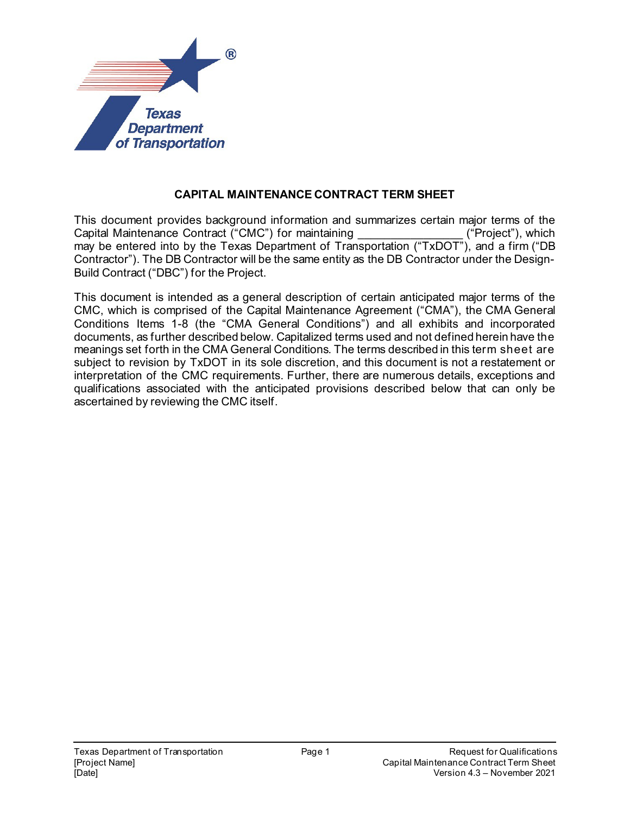

## **CAPITAL MAINTENANCE CONTRACT TERM SHEET**

This document provides background information and summarizes certain major terms of the<br>Capital Maintenance Contract ("CMC") for maintaining ((1999) ("Project"), which Capital Maintenance Contract ("CMC") for maintaining may be entered into by the Texas Department of Transportation ("TxDOT"), and a firm ("DB Contractor"). The DB Contractor will be the same entity as the DB Contractor under the Design-Build Contract ("DBC") for the Project.

This document is intended as a general description of certain anticipated major terms of the CMC, which is comprised of the Capital Maintenance Agreement ("CMA"), the CMA General Conditions Items 1-8 (the "CMA General Conditions") and all exhibits and incorporated documents, as further described below. Capitalized terms used and not defined herein have the meanings set forth in the CMA General Conditions. The terms described in this term sheet are subject to revision by TxDOT in its sole discretion, and this document is not a restatement or interpretation of the CMC requirements. Further, there are numerous details, exceptions and qualifications associated with the anticipated provisions described below that can only be ascertained by reviewing the CMC itself.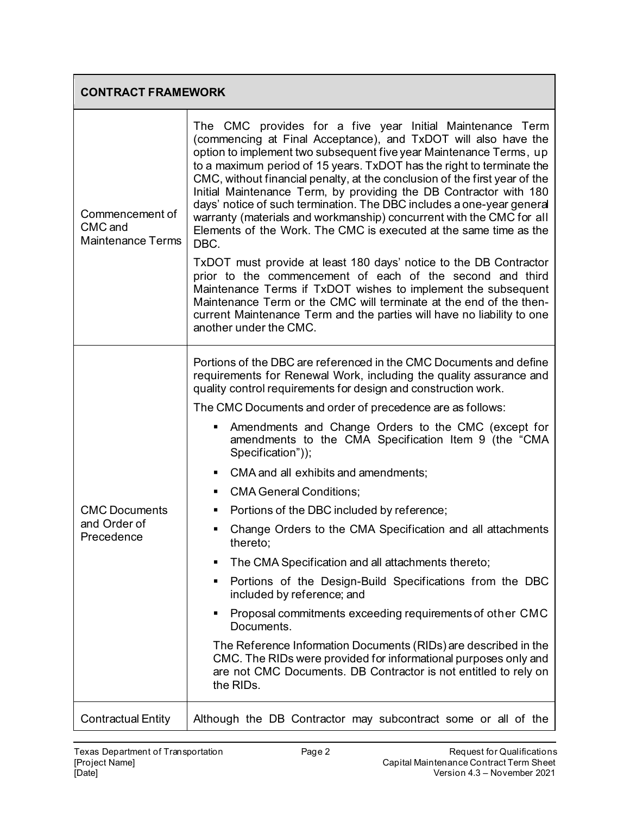| <b>CONTRACT FRAMEWORK</b>                              |                                                                                                                                                                                                                                                                                                                                                                                                                                                                                                                                                                                                                                                                                                                                                                                                                                                                                                                                                                                                                                                                         |
|--------------------------------------------------------|-------------------------------------------------------------------------------------------------------------------------------------------------------------------------------------------------------------------------------------------------------------------------------------------------------------------------------------------------------------------------------------------------------------------------------------------------------------------------------------------------------------------------------------------------------------------------------------------------------------------------------------------------------------------------------------------------------------------------------------------------------------------------------------------------------------------------------------------------------------------------------------------------------------------------------------------------------------------------------------------------------------------------------------------------------------------------|
| Commencement of<br>CMC and<br><b>Maintenance Terms</b> | The CMC provides for a five year Initial Maintenance Term<br>(commencing at Final Acceptance), and TxDOT will also have the<br>option to implement two subsequent five year Maintenance Terms, up<br>to a maximum period of 15 years. TxDOT has the right to terminate the<br>CMC, without financial penalty, at the conclusion of the first year of the<br>Initial Maintenance Term, by providing the DB Contractor with 180<br>days' notice of such termination. The DBC includes a one-year general<br>warranty (materials and workmanship) concurrent with the CMC for all<br>Elements of the Work. The CMC is executed at the same time as the<br>DBC.<br>TxDOT must provide at least 180 days' notice to the DB Contractor<br>prior to the commencement of each of the second and third<br>Maintenance Terms if TxDOT wishes to implement the subsequent<br>Maintenance Term or the CMC will terminate at the end of the then-<br>current Maintenance Term and the parties will have no liability to one<br>another under the CMC.                                |
| <b>CMC Documents</b><br>and Order of<br>Precedence     | Portions of the DBC are referenced in the CMC Documents and define<br>requirements for Renewal Work, including the quality assurance and<br>quality control requirements for design and construction work.<br>The CMC Documents and order of precedence are as follows:<br>Amendments and Change Orders to the CMC (except for<br>amendments to the CMA Specification Item 9 (the "CMA<br>Specification"));<br>CMA and all exhibits and amendments;<br>٠<br><b>CMA General Conditions;</b><br>Portions of the DBC included by reference;<br>Change Orders to the CMA Specification and all attachments<br>thereto;<br>The CMA Specification and all attachments thereto;<br>Portions of the Design-Build Specifications from the DBC<br>٠<br>included by reference; and<br>Proposal commitments exceeding requirements of other CMC<br>Documents.<br>The Reference Information Documents (RIDs) are described in the<br>CMC. The RIDs were provided for informational purposes only and<br>are not CMC Documents. DB Contractor is not entitled to rely on<br>the RIDs. |
| <b>Contractual Entity</b>                              | Although the DB Contractor may subcontract some or all of the                                                                                                                                                                                                                                                                                                                                                                                                                                                                                                                                                                                                                                                                                                                                                                                                                                                                                                                                                                                                           |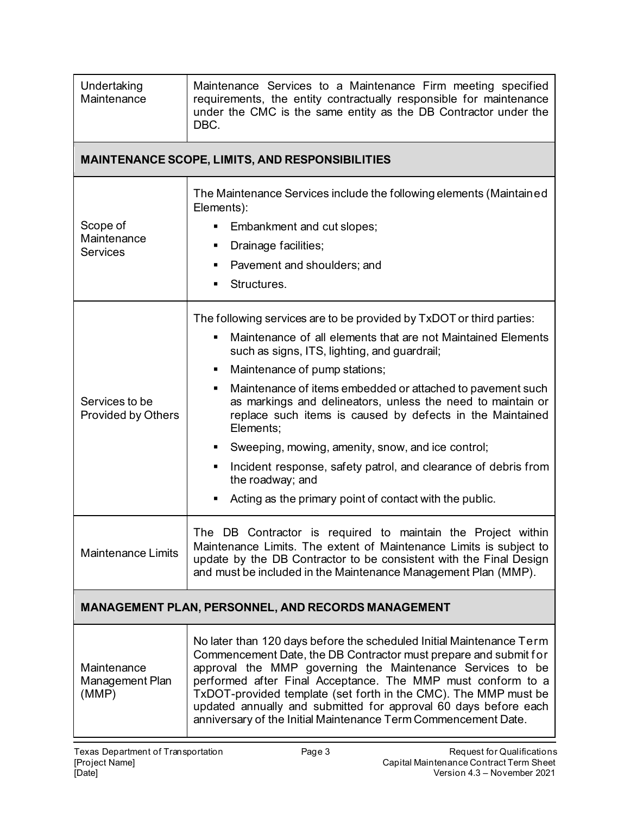| Undertaking<br>Maintenance                                | Maintenance Services to a Maintenance Firm meeting specified<br>requirements, the entity contractually responsible for maintenance<br>under the CMC is the same entity as the DB Contractor under the<br>DBC.                                                                                                                                                                                                                                                                                                                                                                                                                                |
|-----------------------------------------------------------|----------------------------------------------------------------------------------------------------------------------------------------------------------------------------------------------------------------------------------------------------------------------------------------------------------------------------------------------------------------------------------------------------------------------------------------------------------------------------------------------------------------------------------------------------------------------------------------------------------------------------------------------|
|                                                           | <b>MAINTENANCE SCOPE, LIMITS, AND RESPONSIBILITIES</b>                                                                                                                                                                                                                                                                                                                                                                                                                                                                                                                                                                                       |
| Scope of<br>Maintenance<br><b>Services</b>                | The Maintenance Services include the following elements (Maintained<br>Elements):<br>Embankment and cut slopes;<br>Drainage facilities;<br>٠<br>Pavement and shoulders; and<br>٠<br>Structures.<br>٠                                                                                                                                                                                                                                                                                                                                                                                                                                         |
| Services to be<br>Provided by Others                      | The following services are to be provided by TxDOT or third parties:<br>Maintenance of all elements that are not Maintained Elements<br>such as signs, ITS, lighting, and guardrail;<br>Maintenance of pump stations;<br>Maintenance of items embedded or attached to pavement such<br>٠<br>as markings and delineators, unless the need to maintain or<br>replace such items is caused by defects in the Maintained<br>Elements;<br>Sweeping, mowing, amenity, snow, and ice control;<br>Incident response, safety patrol, and clearance of debris from<br>٠<br>the roadway; and<br>Acting as the primary point of contact with the public. |
| Maintenance Limits                                        | The DB Contractor is required to maintain the Project within<br>Maintenance Limits. The extent of Maintenance Limits is subject to<br>update by the DB Contractor to be consistent with the Final Design<br>and must be included in the Maintenance Management Plan (MMP).                                                                                                                                                                                                                                                                                                                                                                   |
| <b>MANAGEMENT PLAN, PERSONNEL, AND RECORDS MANAGEMENT</b> |                                                                                                                                                                                                                                                                                                                                                                                                                                                                                                                                                                                                                                              |
| Maintenance<br>Management Plan<br>(MMP)                   | No later than 120 days before the scheduled Initial Maintenance Term<br>Commencement Date, the DB Contractor must prepare and submit for<br>approval the MMP governing the Maintenance Services to be<br>performed after Final Acceptance. The MMP must conform to a<br>TxDOT-provided template (set forth in the CMC). The MMP must be<br>updated annually and submitted for approval 60 days before each<br>anniversary of the Initial Maintenance Term Commencement Date.                                                                                                                                                                 |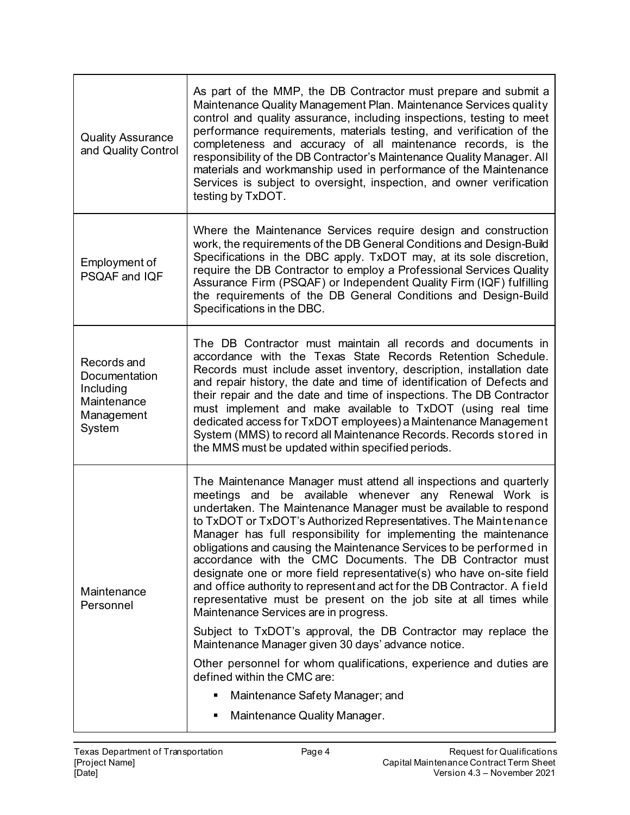| <b>Quality Assurance</b><br>and Quality Control                                  | As part of the MMP, the DB Contractor must prepare and submit a<br>Maintenance Quality Management Plan. Maintenance Services quality<br>control and quality assurance, including inspections, testing to meet<br>performance requirements, materials testing, and verification of the<br>completeness and accuracy of all maintenance records, is the<br>responsibility of the DB Contractor's Maintenance Quality Manager. All<br>materials and workmanship used in performance of the Maintenance<br>Services is subject to oversight, inspection, and owner verification<br>testing by TxDOT.                                                                                                                                                                                                                                                                                                                                                                                                                                             |
|----------------------------------------------------------------------------------|----------------------------------------------------------------------------------------------------------------------------------------------------------------------------------------------------------------------------------------------------------------------------------------------------------------------------------------------------------------------------------------------------------------------------------------------------------------------------------------------------------------------------------------------------------------------------------------------------------------------------------------------------------------------------------------------------------------------------------------------------------------------------------------------------------------------------------------------------------------------------------------------------------------------------------------------------------------------------------------------------------------------------------------------|
| Employment of<br>PSQAF and IQF                                                   | Where the Maintenance Services require design and construction<br>work, the requirements of the DB General Conditions and Design-Build<br>Specifications in the DBC apply. TxDOT may, at its sole discretion,<br>require the DB Contractor to employ a Professional Services Quality<br>Assurance Firm (PSQAF) or Independent Quality Firm (IQF) fulfilling<br>the requirements of the DB General Conditions and Design-Build<br>Specifications in the DBC.                                                                                                                                                                                                                                                                                                                                                                                                                                                                                                                                                                                  |
| Records and<br>Documentation<br>Including<br>Maintenance<br>Management<br>System | The DB Contractor must maintain all records and documents in<br>accordance with the Texas State Records Retention Schedule.<br>Records must include asset inventory, description, installation date<br>and repair history, the date and time of identification of Defects and<br>their repair and the date and time of inspections. The DB Contractor<br>must implement and make available to TxDOT (using real time<br>dedicated access for TxDOT employees) a Maintenance Management<br>System (MMS) to record all Maintenance Records. Records stored in<br>the MMS must be updated within specified periods.                                                                                                                                                                                                                                                                                                                                                                                                                             |
| Maintenance<br>Personnel                                                         | The Maintenance Manager must attend all inspections and quarterly<br>meetings and be available whenever any Renewal Work is<br>undertaken. The Maintenance Manager must be available to respond<br>to TxDOT or TxDOT's Authorized Representatives. The Maintenance<br>Manager has full responsibility for implementing the maintenance<br>obligations and causing the Maintenance Services to be performed in<br>accordance with the CMC Documents. The DB Contractor must<br>designate one or more field representative(s) who have on-site field<br>and office authority to represent and act for the DB Contractor. A field<br>representative must be present on the job site at all times while<br>Maintenance Services are in progress.<br>Subject to TxDOT's approval, the DB Contractor may replace the<br>Maintenance Manager given 30 days' advance notice.<br>Other personnel for whom qualifications, experience and duties are<br>defined within the CMC are:<br>Maintenance Safety Manager; and<br>Maintenance Quality Manager. |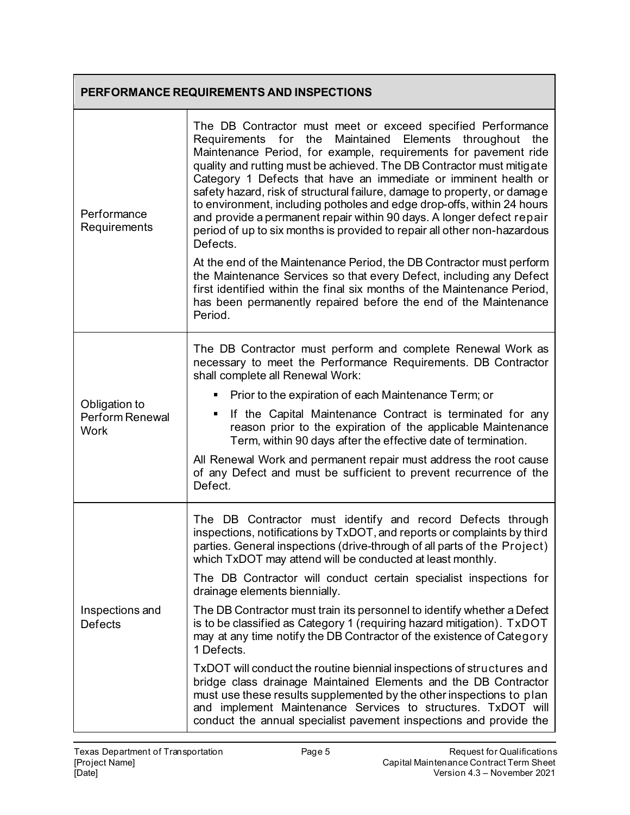| PERFORMANCE REQUIREMENTS AND INSPECTIONS        |                                                                                                                                                                                                                                                                                                                                                                                                                                                                                                                                                                                                                                                              |
|-------------------------------------------------|--------------------------------------------------------------------------------------------------------------------------------------------------------------------------------------------------------------------------------------------------------------------------------------------------------------------------------------------------------------------------------------------------------------------------------------------------------------------------------------------------------------------------------------------------------------------------------------------------------------------------------------------------------------|
| Performance<br>Requirements                     | The DB Contractor must meet or exceed specified Performance<br>Requirements for the Maintained Elements throughout the<br>Maintenance Period, for example, requirements for pavement ride<br>quality and rutting must be achieved. The DB Contractor must mitigate<br>Category 1 Defects that have an immediate or imminent health or<br>safety hazard, risk of structural failure, damage to property, or damage<br>to environment, including potholes and edge drop-offs, within 24 hours<br>and provide a permanent repair within 90 days. A longer defect repair<br>period of up to six months is provided to repair all other non-hazardous<br>Defects. |
|                                                 | At the end of the Maintenance Period, the DB Contractor must perform<br>the Maintenance Services so that every Defect, including any Defect<br>first identified within the final six months of the Maintenance Period,<br>has been permanently repaired before the end of the Maintenance<br>Period.                                                                                                                                                                                                                                                                                                                                                         |
|                                                 | The DB Contractor must perform and complete Renewal Work as<br>necessary to meet the Performance Requirements. DB Contractor<br>shall complete all Renewal Work:                                                                                                                                                                                                                                                                                                                                                                                                                                                                                             |
|                                                 | Prior to the expiration of each Maintenance Term; or                                                                                                                                                                                                                                                                                                                                                                                                                                                                                                                                                                                                         |
| Obligation to<br>Perform Renewal<br><b>Work</b> | If the Capital Maintenance Contract is terminated for any<br>reason prior to the expiration of the applicable Maintenance<br>Term, within 90 days after the effective date of termination.                                                                                                                                                                                                                                                                                                                                                                                                                                                                   |
|                                                 | All Renewal Work and permanent repair must address the root cause<br>of any Defect and must be sufficient to prevent recurrence of the<br>Defect.                                                                                                                                                                                                                                                                                                                                                                                                                                                                                                            |
| Inspections and<br><b>Defects</b>               | The DB Contractor must identify and record Defects through<br>inspections, notifications by TxDOT, and reports or complaints by third<br>parties. General inspections (drive-through of all parts of the Project)<br>which TxDOT may attend will be conducted at least monthly.                                                                                                                                                                                                                                                                                                                                                                              |
|                                                 | The DB Contractor will conduct certain specialist inspections for<br>drainage elements biennially.                                                                                                                                                                                                                                                                                                                                                                                                                                                                                                                                                           |
|                                                 | The DB Contractor must train its personnel to identify whether a Defect<br>is to be classified as Category 1 (requiring hazard mitigation). TxDOT<br>may at any time notify the DB Contractor of the existence of Category<br>1 Defects.                                                                                                                                                                                                                                                                                                                                                                                                                     |
|                                                 | TxDOT will conduct the routine biennial inspections of structures and<br>bridge class drainage Maintained Elements and the DB Contractor<br>must use these results supplemented by the other inspections to plan<br>and implement Maintenance Services to structures. TxDOT will<br>conduct the annual specialist pavement inspections and provide the                                                                                                                                                                                                                                                                                                       |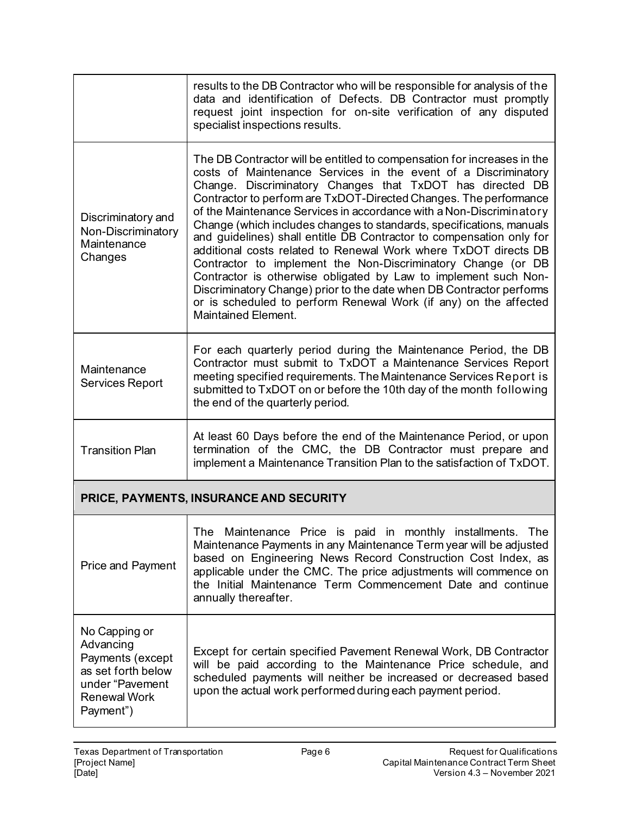|                                                                                                                             | results to the DB Contractor who will be responsible for analysis of the<br>data and identification of Defects. DB Contractor must promptly<br>request joint inspection for on-site verification of any disputed<br>specialist inspections results.                                                                                                                                                                                                                                                                                                                                                                                                                                                                                                                                                                                                                         |  |
|-----------------------------------------------------------------------------------------------------------------------------|-----------------------------------------------------------------------------------------------------------------------------------------------------------------------------------------------------------------------------------------------------------------------------------------------------------------------------------------------------------------------------------------------------------------------------------------------------------------------------------------------------------------------------------------------------------------------------------------------------------------------------------------------------------------------------------------------------------------------------------------------------------------------------------------------------------------------------------------------------------------------------|--|
| Discriminatory and<br>Non-Discriminatory<br>Maintenance<br>Changes                                                          | The DB Contractor will be entitled to compensation for increases in the<br>costs of Maintenance Services in the event of a Discriminatory<br>Change. Discriminatory Changes that TxDOT has directed DB<br>Contractor to perform are TxDOT-Directed Changes. The performance<br>of the Maintenance Services in accordance with a Non-Discriminatory<br>Change (which includes changes to standards, specifications, manuals<br>and guidelines) shall entitle DB Contractor to compensation only for<br>additional costs related to Renewal Work where TxDOT directs DB<br>Contractor to implement the Non-Discriminatory Change (or DB<br>Contractor is otherwise obligated by Law to implement such Non-<br>Discriminatory Change) prior to the date when DB Contractor performs<br>or is scheduled to perform Renewal Work (if any) on the affected<br>Maintained Element. |  |
| Maintenance<br><b>Services Report</b>                                                                                       | For each quarterly period during the Maintenance Period, the DB<br>Contractor must submit to TxDOT a Maintenance Services Report<br>meeting specified requirements. The Maintenance Services Report is<br>submitted to TxDOT on or before the 10th day of the month following<br>the end of the quarterly period.                                                                                                                                                                                                                                                                                                                                                                                                                                                                                                                                                           |  |
| <b>Transition Plan</b>                                                                                                      | At least 60 Days before the end of the Maintenance Period, or upon<br>termination of the CMC, the DB Contractor must prepare and<br>implement a Maintenance Transition Plan to the satisfaction of TxDOT.                                                                                                                                                                                                                                                                                                                                                                                                                                                                                                                                                                                                                                                                   |  |
|                                                                                                                             | PRICE, PAYMENTS, INSURANCE AND SECURITY                                                                                                                                                                                                                                                                                                                                                                                                                                                                                                                                                                                                                                                                                                                                                                                                                                     |  |
| Price and Payment                                                                                                           | The<br>Maintenance Price is paid in monthly installments.<br>The<br>Maintenance Payments in any Maintenance Term year will be adjusted<br>based on Engineering News Record Construction Cost Index, as<br>applicable under the CMC. The price adjustments will commence on<br>the Initial Maintenance Term Commencement Date and continue<br>annually thereafter.                                                                                                                                                                                                                                                                                                                                                                                                                                                                                                           |  |
| No Capping or<br>Advancing<br>Payments (except<br>as set forth below<br>under "Pavement<br><b>Renewal Work</b><br>Payment") | Except for certain specified Pavement Renewal Work, DB Contractor<br>will be paid according to the Maintenance Price schedule, and<br>scheduled payments will neither be increased or decreased based<br>upon the actual work performed during each payment period.                                                                                                                                                                                                                                                                                                                                                                                                                                                                                                                                                                                                         |  |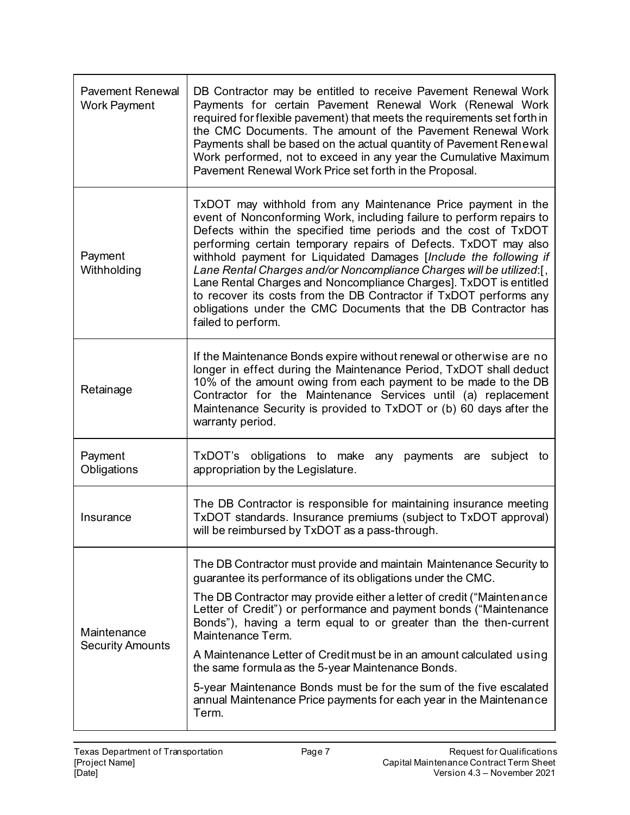| <b>Pavement Renewal</b><br><b>Work Payment</b> | DB Contractor may be entitled to receive Pavement Renewal Work<br>Payments for certain Pavement Renewal Work (Renewal Work<br>required for flexible pavement) that meets the requirements set forth in<br>the CMC Documents. The amount of the Pavement Renewal Work<br>Payments shall be based on the actual quantity of Pavement Renewal<br>Work performed, not to exceed in any year the Cumulative Maximum<br>Pavement Renewal Work Price set forth in the Proposal.                                                                                                                                                                                  |
|------------------------------------------------|-----------------------------------------------------------------------------------------------------------------------------------------------------------------------------------------------------------------------------------------------------------------------------------------------------------------------------------------------------------------------------------------------------------------------------------------------------------------------------------------------------------------------------------------------------------------------------------------------------------------------------------------------------------|
| Payment<br>Withholding                         | TxDOT may withhold from any Maintenance Price payment in the<br>event of Nonconforming Work, including failure to perform repairs to<br>Defects within the specified time periods and the cost of TxDOT<br>performing certain temporary repairs of Defects. TxDOT may also<br>withhold payment for Liquidated Damages [Include the following if<br>Lane Rental Charges and/or Noncompliance Charges will be utilized:[,<br>Lane Rental Charges and Noncompliance Charges]. TxDOT is entitled<br>to recover its costs from the DB Contractor if TxDOT performs any<br>obligations under the CMC Documents that the DB Contractor has<br>failed to perform. |
| Retainage                                      | If the Maintenance Bonds expire without renewal or otherwise are no<br>longer in effect during the Maintenance Period, TxDOT shall deduct<br>10% of the amount owing from each payment to be made to the DB<br>Contractor for the Maintenance Services until (a) replacement<br>Maintenance Security is provided to TxDOT or (b) 60 days after the<br>warranty period.                                                                                                                                                                                                                                                                                    |
| Payment<br>Obligations                         | TxDOT's obligations to make any payments are subject to<br>appropriation by the Legislature.                                                                                                                                                                                                                                                                                                                                                                                                                                                                                                                                                              |
| Insurance                                      | The DB Contractor is responsible for maintaining insurance meeting<br>TxDOT standards. Insurance premiums (subject to TxDOT approval)<br>will be reimbursed by TxDOT as a pass-through.                                                                                                                                                                                                                                                                                                                                                                                                                                                                   |
| Maintenance<br><b>Security Amounts</b>         | The DB Contractor must provide and maintain Maintenance Security to<br>guarantee its performance of its obligations under the CMC.                                                                                                                                                                                                                                                                                                                                                                                                                                                                                                                        |
|                                                | The DB Contractor may provide either a letter of credit ("Maintenance"<br>Letter of Credit") or performance and payment bonds ("Maintenance<br>Bonds"), having a term equal to or greater than the then-current<br>Maintenance Term.                                                                                                                                                                                                                                                                                                                                                                                                                      |
|                                                | A Maintenance Letter of Credit must be in an amount calculated using<br>the same formula as the 5-year Maintenance Bonds.                                                                                                                                                                                                                                                                                                                                                                                                                                                                                                                                 |
|                                                | 5-year Maintenance Bonds must be for the sum of the five escalated<br>annual Maintenance Price payments for each year in the Maintenance<br>Term.                                                                                                                                                                                                                                                                                                                                                                                                                                                                                                         |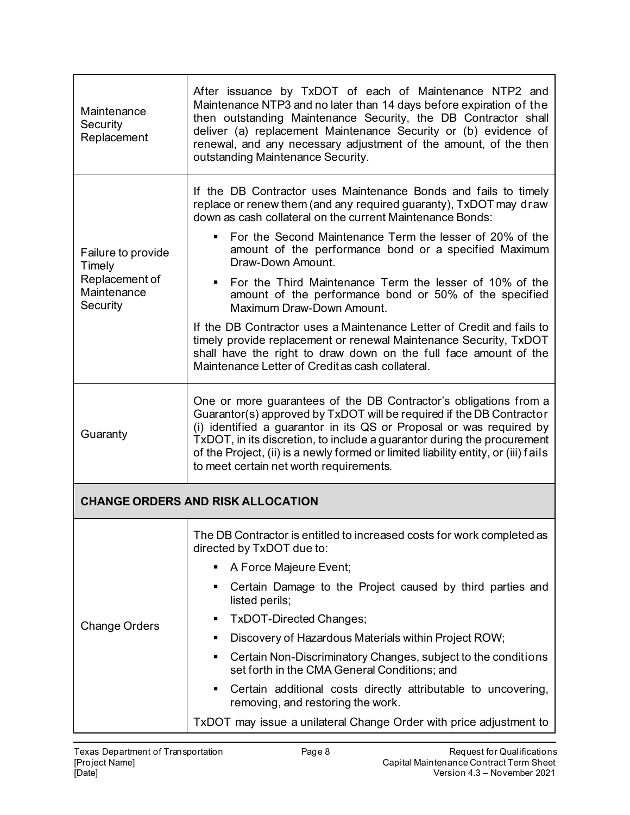| Maintenance<br>Security<br>Replacement                                    | After issuance by TxDOT of each of Maintenance NTP2 and<br>Maintenance NTP3 and no later than 14 days before expiration of the<br>then outstanding Maintenance Security, the DB Contractor shall<br>deliver (a) replacement Maintenance Security or (b) evidence of<br>renewal, and any necessary adjustment of the amount, of the then<br>outstanding Maintenance Security.                                                |
|---------------------------------------------------------------------------|-----------------------------------------------------------------------------------------------------------------------------------------------------------------------------------------------------------------------------------------------------------------------------------------------------------------------------------------------------------------------------------------------------------------------------|
| Failure to provide<br>Timely<br>Replacement of<br>Maintenance<br>Security | If the DB Contractor uses Maintenance Bonds and fails to timely<br>replace or renew them (and any required guaranty), TxDOT may draw<br>down as cash collateral on the current Maintenance Bonds:                                                                                                                                                                                                                           |
|                                                                           | For the Second Maintenance Term the lesser of 20% of the<br>٠<br>amount of the performance bond or a specified Maximum<br>Draw-Down Amount.                                                                                                                                                                                                                                                                                 |
|                                                                           | For the Third Maintenance Term the lesser of 10% of the<br>٠<br>amount of the performance bond or 50% of the specified<br>Maximum Draw-Down Amount.                                                                                                                                                                                                                                                                         |
|                                                                           | If the DB Contractor uses a Maintenance Letter of Credit and fails to<br>timely provide replacement or renewal Maintenance Security, TxDOT<br>shall have the right to draw down on the full face amount of the<br>Maintenance Letter of Credit as cash collateral.                                                                                                                                                          |
| Guaranty                                                                  | One or more guarantees of the DB Contractor's obligations from a<br>Guarantor(s) approved by TxDOT will be required if the DB Contractor<br>(i) identified a guarantor in its QS or Proposal or was required by<br>TxDOT, in its discretion, to include a guarantor during the procurement<br>of the Project, (ii) is a newly formed or limited liability entity, or (iii) fails<br>to meet certain net worth requirements. |
| <b>CHANGE ORDERS AND RISK ALLOCATION</b>                                  |                                                                                                                                                                                                                                                                                                                                                                                                                             |
|                                                                           | The DB Contractor is entitled to increased costs for work completed as<br>directed by TxDOT due to:                                                                                                                                                                                                                                                                                                                         |
|                                                                           | A Force Majeure Event;<br>٠                                                                                                                                                                                                                                                                                                                                                                                                 |
|                                                                           | Certain Damage to the Project caused by third parties and<br>listed perils;                                                                                                                                                                                                                                                                                                                                                 |
| <b>Change Orders</b>                                                      | TxDOT-Directed Changes;                                                                                                                                                                                                                                                                                                                                                                                                     |
|                                                                           | Discovery of Hazardous Materials within Project ROW;<br>٠                                                                                                                                                                                                                                                                                                                                                                   |
|                                                                           | Certain Non-Discriminatory Changes, subject to the conditions<br>٠<br>set forth in the CMA General Conditions; and                                                                                                                                                                                                                                                                                                          |
|                                                                           | Certain additional costs directly attributable to uncovering,<br>٠<br>removing, and restoring the work.                                                                                                                                                                                                                                                                                                                     |
|                                                                           | TxDOT may issue a unilateral Change Order with price adjustment to                                                                                                                                                                                                                                                                                                                                                          |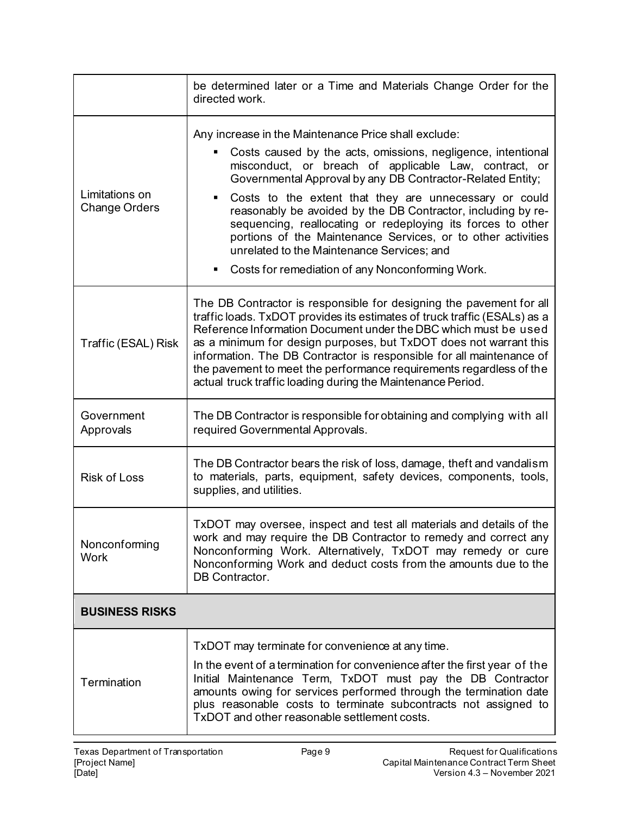|                                        | be determined later or a Time and Materials Change Order for the<br>directed work.                                                                                                                                                                                                                                                                                                                                                                                                                                                                                                                                    |
|----------------------------------------|-----------------------------------------------------------------------------------------------------------------------------------------------------------------------------------------------------------------------------------------------------------------------------------------------------------------------------------------------------------------------------------------------------------------------------------------------------------------------------------------------------------------------------------------------------------------------------------------------------------------------|
| Limitations on<br><b>Change Orders</b> | Any increase in the Maintenance Price shall exclude:<br>Costs caused by the acts, omissions, negligence, intentional<br>٠<br>misconduct, or breach of applicable Law, contract, or<br>Governmental Approval by any DB Contractor-Related Entity;<br>Costs to the extent that they are unnecessary or could<br>٠<br>reasonably be avoided by the DB Contractor, including by re-<br>sequencing, reallocating or redeploying its forces to other<br>portions of the Maintenance Services, or to other activities<br>unrelated to the Maintenance Services; and<br>Costs for remediation of any Nonconforming Work.<br>٠ |
| Traffic (ESAL) Risk                    | The DB Contractor is responsible for designing the pavement for all<br>traffic loads. TxDOT provides its estimates of truck traffic (ESALs) as a<br>Reference Information Document under the DBC which must be used<br>as a minimum for design purposes, but TxDOT does not warrant this<br>information. The DB Contractor is responsible for all maintenance of<br>the pavement to meet the performance requirements regardless of the<br>actual truck traffic loading during the Maintenance Period.                                                                                                                |
| Government<br>Approvals                | The DB Contractor is responsible for obtaining and complying with all<br>required Governmental Approvals.                                                                                                                                                                                                                                                                                                                                                                                                                                                                                                             |
| <b>Risk of Loss</b>                    | The DB Contractor bears the risk of loss, damage, theft and vandalism<br>to materials, parts, equipment, safety devices, components, tools,<br>supplies, and utilities.                                                                                                                                                                                                                                                                                                                                                                                                                                               |
| Nonconforming<br><b>Work</b>           | TxDOT may oversee, inspect and test all materials and details of the<br>work and may require the DB Contractor to remedy and correct any<br>Nonconforming Work. Alternatively, TxDOT may remedy or cure<br>Nonconforming Work and deduct costs from the amounts due to the<br>DB Contractor.                                                                                                                                                                                                                                                                                                                          |
| <b>BUSINESS RISKS</b>                  |                                                                                                                                                                                                                                                                                                                                                                                                                                                                                                                                                                                                                       |
| Termination                            | TxDOT may terminate for convenience at any time.<br>In the event of a termination for convenience after the first year of the<br>Initial Maintenance Term, TxDOT must pay the DB Contractor<br>amounts owing for services performed through the termination date<br>plus reasonable costs to terminate subcontracts not assigned to<br>TxDOT and other reasonable settlement costs.                                                                                                                                                                                                                                   |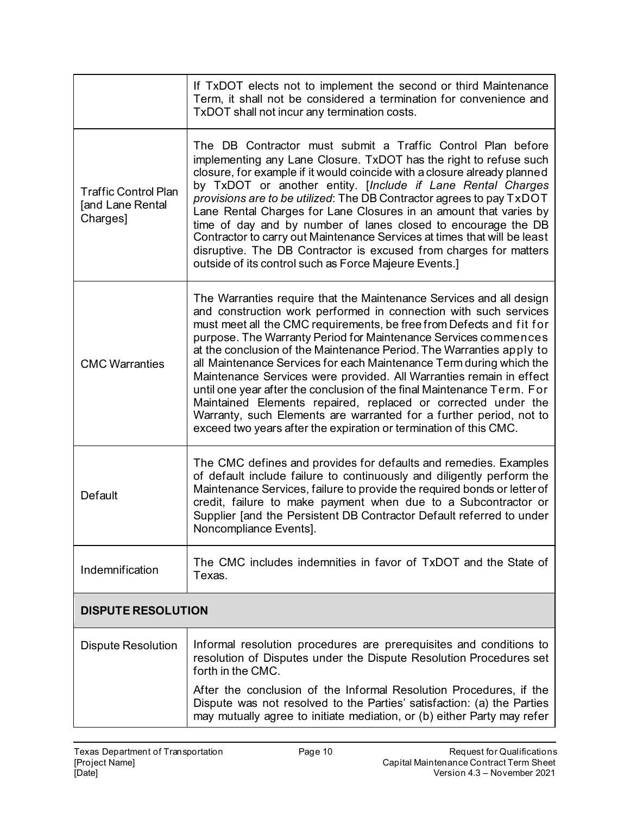|                                                             | If TxDOT elects not to implement the second or third Maintenance<br>Term, it shall not be considered a termination for convenience and<br>TxDOT shall not incur any termination costs.                                                                                                                                                                                                                                                                                                                                                                                                                                                                                                                                                                                                         |
|-------------------------------------------------------------|------------------------------------------------------------------------------------------------------------------------------------------------------------------------------------------------------------------------------------------------------------------------------------------------------------------------------------------------------------------------------------------------------------------------------------------------------------------------------------------------------------------------------------------------------------------------------------------------------------------------------------------------------------------------------------------------------------------------------------------------------------------------------------------------|
| <b>Traffic Control Plan</b><br>[and Lane Rental<br>Charges] | The DB Contractor must submit a Traffic Control Plan before<br>implementing any Lane Closure. TxDOT has the right to refuse such<br>closure, for example if it would coincide with a closure already planned<br>by TxDOT or another entity. [Include if Lane Rental Charges<br>provisions are to be utilized: The DB Contractor agrees to pay TxDOT<br>Lane Rental Charges for Lane Closures in an amount that varies by<br>time of day and by number of lanes closed to encourage the DB<br>Contractor to carry out Maintenance Services at times that will be least<br>disruptive. The DB Contractor is excused from charges for matters<br>outside of its control such as Force Majeure Events.]                                                                                            |
| <b>CMC Warranties</b>                                       | The Warranties require that the Maintenance Services and all design<br>and construction work performed in connection with such services<br>must meet all the CMC requirements, be free from Defects and fit for<br>purpose. The Warranty Period for Maintenance Services commences<br>at the conclusion of the Maintenance Period. The Warranties apply to<br>all Maintenance Services for each Maintenance Term during which the<br>Maintenance Services were provided. All Warranties remain in effect<br>until one year after the conclusion of the final Maintenance Term. For<br>Maintained Elements repaired, replaced or corrected under the<br>Warranty, such Elements are warranted for a further period, not to<br>exceed two years after the expiration or termination of this CMC. |
| Default                                                     | The CMC defines and provides for defaults and remedies. Examples<br>of default include failure to continuously and diligently perform the<br>Maintenance Services, failure to provide the required bonds or letter of<br>credit, failure to make payment when due to a Subcontractor or<br>Supplier [and the Persistent DB Contractor Default referred to under<br>Noncompliance Events].                                                                                                                                                                                                                                                                                                                                                                                                      |
| Indemnification                                             | The CMC includes indemnities in favor of TxDOT and the State of<br>Texas.                                                                                                                                                                                                                                                                                                                                                                                                                                                                                                                                                                                                                                                                                                                      |
| <b>DISPUTE RESOLUTION</b>                                   |                                                                                                                                                                                                                                                                                                                                                                                                                                                                                                                                                                                                                                                                                                                                                                                                |
| <b>Dispute Resolution</b>                                   | Informal resolution procedures are prerequisites and conditions to<br>resolution of Disputes under the Dispute Resolution Procedures set<br>forth in the CMC.                                                                                                                                                                                                                                                                                                                                                                                                                                                                                                                                                                                                                                  |
|                                                             | After the conclusion of the Informal Resolution Procedures, if the<br>Dispute was not resolved to the Parties' satisfaction: (a) the Parties<br>may mutually agree to initiate mediation, or (b) either Party may refer                                                                                                                                                                                                                                                                                                                                                                                                                                                                                                                                                                        |